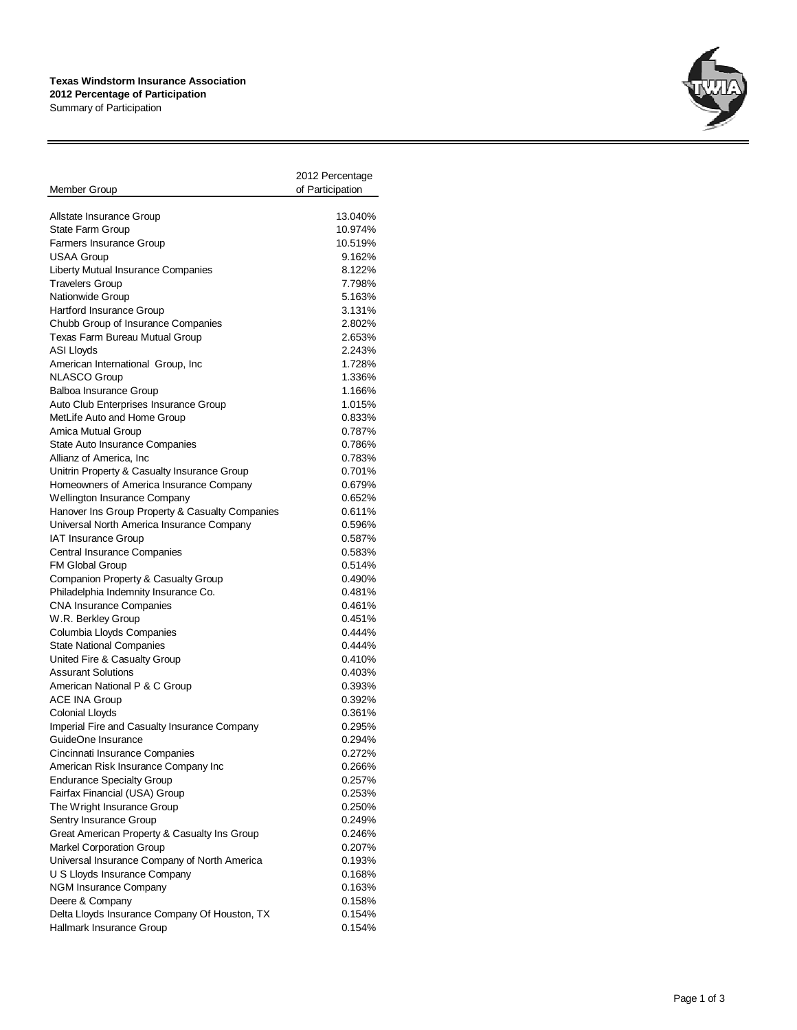## **Texas Windstorm Insurance Association 2012 Percentage of Participation**

Summary of Participation

| Member Group                                                       | 2012 Percentage<br>of Participation |
|--------------------------------------------------------------------|-------------------------------------|
| Allstate Insurance Group                                           | 13.040%                             |
| <b>State Farm Group</b>                                            | 10.974%                             |
| <b>Farmers Insurance Group</b>                                     | 10.519%                             |
| <b>USAA Group</b>                                                  | 9.162%                              |
| Liberty Mutual Insurance Companies                                 | 8.122%                              |
| <b>Travelers Group</b>                                             | 7.798%                              |
| Nationwide Group                                                   | 5.163%                              |
| Hartford Insurance Group                                           | 3.131%                              |
| Chubb Group of Insurance Companies                                 | 2.802%                              |
| Texas Farm Bureau Mutual Group                                     | 2.653%                              |
| <b>ASI Lloyds</b>                                                  | 2.243%                              |
| American International Group, Inc                                  | 1.728%                              |
| <b>NLASCO Group</b>                                                | 1.336%                              |
| <b>Balboa Insurance Group</b>                                      | 1.166%                              |
| Auto Club Enterprises Insurance Group                              | 1.015%                              |
| MetLife Auto and Home Group                                        | 0.833%                              |
| Amica Mutual Group                                                 | 0.787%                              |
| State Auto Insurance Companies                                     | 0.786%                              |
| Allianz of America, Inc.                                           | 0.783%                              |
| Unitrin Property & Casualty Insurance Group                        | 0.701%                              |
| Homeowners of America Insurance Company                            | 0.679%                              |
| Wellington Insurance Company                                       | 0.652%                              |
| Hanover Ins Group Property & Casualty Companies                    | 0.611%                              |
| Universal North America Insurance Company                          | 0.596%                              |
| <b>IAT Insurance Group</b>                                         | 0.587%                              |
| <b>Central Insurance Companies</b>                                 | 0.583%                              |
| <b>FM Global Group</b>                                             | 0.514%                              |
| Companion Property & Casualty Group                                | 0.490%                              |
| Philadelphia Indemnity Insurance Co.                               | 0.481%                              |
| <b>CNA Insurance Companies</b>                                     | 0.461%                              |
| W.R. Berkley Group                                                 | 0.451%                              |
| Columbia Lloyds Companies                                          | 0.444%                              |
| <b>State National Companies</b>                                    | 0.444%                              |
| United Fire & Casualty Group                                       | 0.410%                              |
| <b>Assurant Solutions</b>                                          | 0.403%                              |
| American National P & C Group                                      | 0.393%<br>0.392%                    |
| <b>ACE INA Group</b><br><b>Colonial Lloyds</b>                     |                                     |
|                                                                    | 0.361%                              |
| Imperial Fire and Casualty Insurance Company<br>GuideOne Insurance | 0.295%<br>0.294%                    |
| Cincinnati Insurance Companies                                     | 0.272%                              |
| American Risk Insurance Company Inc                                | 0.266%                              |
| <b>Endurance Specialty Group</b>                                   | 0.257%                              |
| Fairfax Financial (USA) Group                                      | 0.253%                              |
| The Wright Insurance Group                                         | 0.250%                              |
| Sentry Insurance Group                                             | 0.249%                              |
| Great American Property & Casualty Ins Group                       | 0.246%                              |
| Markel Corporation Group                                           | 0.207%                              |
| Universal Insurance Company of North America                       | 0.193%                              |
| U S Lloyds Insurance Company                                       | 0.168%                              |
| NGM Insurance Company                                              | 0.163%                              |
| Deere & Company                                                    | 0.158%                              |
| Delta Lloyds Insurance Company Of Houston, TX                      | 0.154%                              |
|                                                                    |                                     |

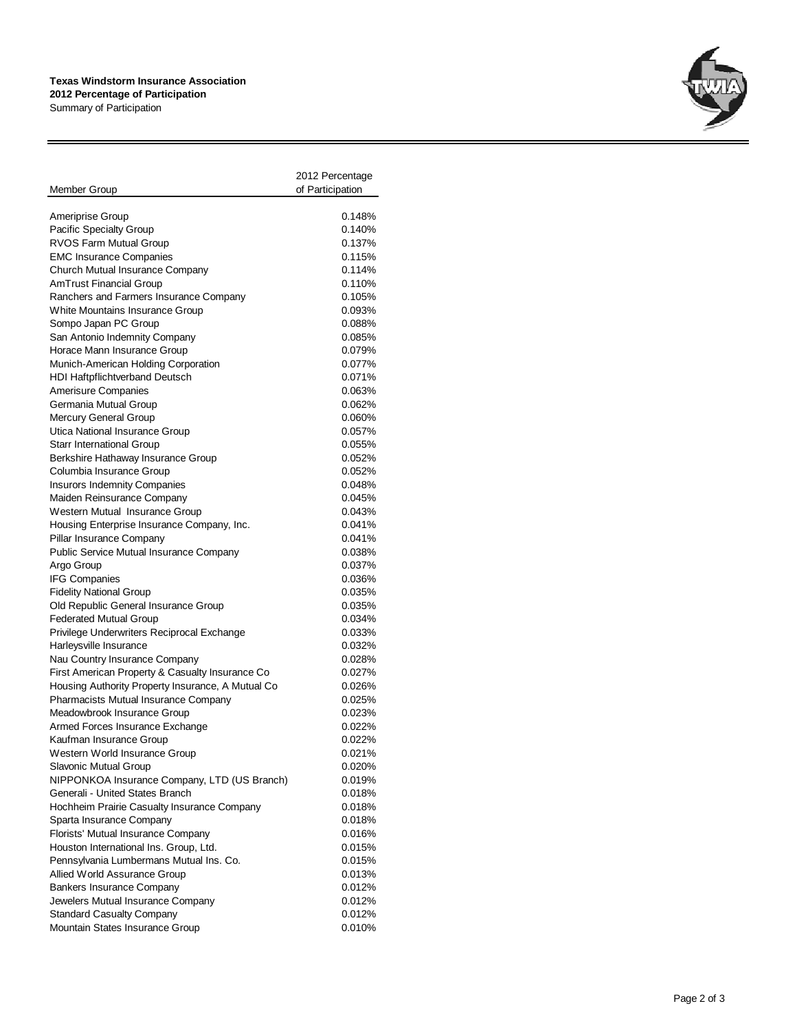## **Texas Windstorm Insurance Association 2012 Percentage of Participation**

Summary of Participation

|                                                   | 2012 Percentage  |
|---------------------------------------------------|------------------|
| Member Group                                      | of Participation |
|                                                   |                  |
| <b>Ameriprise Group</b>                           | 0.148%           |
| Pacific Specialty Group                           | 0.140%           |
| <b>RVOS Farm Mutual Group</b>                     | 0.137%           |
| <b>EMC Insurance Companies</b>                    | 0.115%           |
| Church Mutual Insurance Company                   | 0.114%           |
| AmTrust Financial Group                           | 0.110%           |
| Ranchers and Farmers Insurance Company            | 0.105%           |
| White Mountains Insurance Group                   | 0.093%           |
| Sompo Japan PC Group                              | 0.088%           |
| San Antonio Indemnity Company                     | 0.085%           |
| Horace Mann Insurance Group                       | 0.079%           |
| Munich-American Holding Corporation               | 0.077%           |
| HDI Haftpflichtverband Deutsch                    | 0.071%           |
| Amerisure Companies                               | 0.063%           |
| Germania Mutual Group                             | 0.062%           |
| Mercury General Group                             | 0.060%           |
| Utica National Insurance Group                    | 0.057%           |
| <b>Starr International Group</b>                  | 0.055%           |
| Berkshire Hathaway Insurance Group                | 0.052%           |
| Columbia Insurance Group                          | 0.052%           |
| <b>Insurors Indemnity Companies</b>               | 0.048%           |
| Maiden Reinsurance Company                        | 0.045%           |
| Western Mutual Insurance Group                    | 0.043%           |
| Housing Enterprise Insurance Company, Inc.        | 0.041%           |
| Pillar Insurance Company                          | 0.041%           |
| <b>Public Service Mutual Insurance Company</b>    | 0.038%           |
| Argo Group                                        | 0.037%           |
| <b>IFG Companies</b>                              | 0.036%           |
| <b>Fidelity National Group</b>                    | 0.035%           |
| Old Republic General Insurance Group              | 0.035%           |
| <b>Federated Mutual Group</b>                     | 0.034%           |
| Privilege Underwriters Reciprocal Exchange        | 0.033%           |
| Harleysville Insurance                            | 0.032%           |
| Nau Country Insurance Company                     | 0.028%           |
| First American Property & Casualty Insurance Co   | 0.027%           |
| Housing Authority Property Insurance, A Mutual Co | 0.026%           |
| <b>Pharmacists Mutual Insurance Company</b>       | 0.025%           |
| Meadowbrook Insurance Group                       | 0.023%           |
| Armed Forces Insurance Exchange                   | 0.022%           |
| Kaufman Insurance Group                           | 0.022%           |
| Western World Insurance Group                     | 0.021%           |
| Slavonic Mutual Group                             | 0.020%           |
| NIPPONKOA Insurance Company, LTD (US Branch)      | 0.019%           |
| Generali - United States Branch                   | 0.018%           |
| Hochheim Prairie Casualty Insurance Company       | 0.018%           |
| Sparta Insurance Company                          | 0.018%           |
| Florists' Mutual Insurance Company                | 0.016%           |
| Houston International Ins. Group, Ltd.            | 0.015%           |
| Pennsylvania Lumbermans Mutual Ins. Co.           | 0.015%           |
| Allied World Assurance Group                      | 0.013%           |
| <b>Bankers Insurance Company</b>                  | 0.012%           |
| Jewelers Mutual Insurance Company                 | 0.012%           |
| <b>Standard Casualty Company</b>                  | 0.012%           |
| Mountain States Insurance Group                   | 0.010%           |
|                                                   |                  |